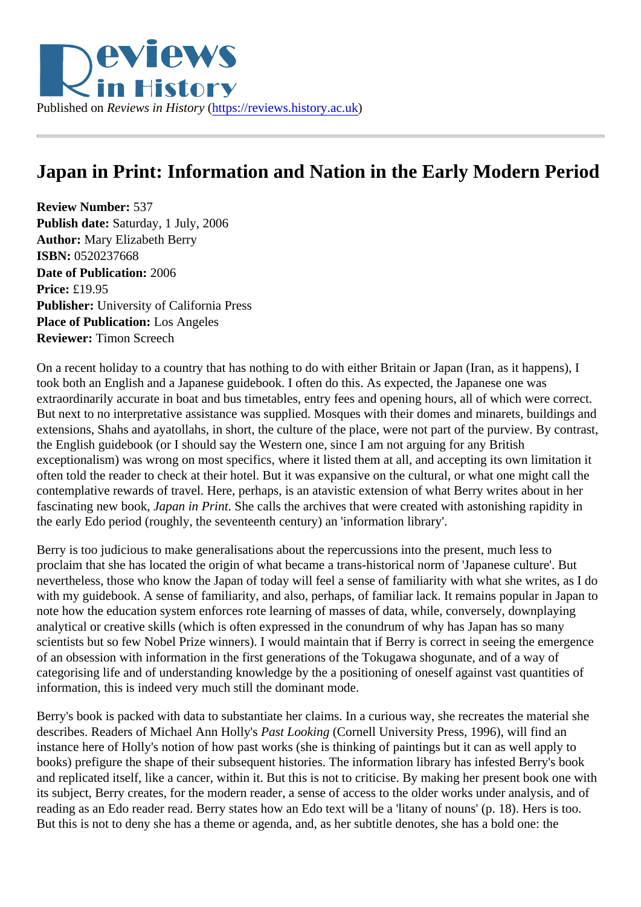## Japan in Print: Information and Nation in the Early Modern Period

Review Number: 537 Publish date: Saturday, 1 July, 2006 Author: Mary Elizabeth Berry ISBN: 0520237668 Date of Publication: 2006 Price: £19.95 Publisher: University of California Press Place of Publication: Los Angeles Reviewer: Timon Screech

On a recent holiday to a country that has nothing to do with either Britain or Japan (Iran, as it happens), I took both an English and a Japanese guidebook. I often do this. As expected, the Japanese one was extraordinarily accurate in boat and bus timetables, entry fees and opening hours, all of which were correct But next to no interpretative assistance was supplied. Mosques with their domes and minarets, buildings a extensions, Shahs and ayatollahs, in short, the culture of the place, were not part of the purview. By contra the English guidebook (or I should say the Western one, since I am not arguing for any British exceptionalism) was wrong on most specifics, where it listed them at all, and accepting its own limitation it often told the reader to check at their hotel. But it was expansive on the cultural, or what one might call the contemplative rewards of travel. Here, perhaps, is an atavistic extension of what Berry writes about in her fascinating new booklapan in Print She calls the archives that were created with astonishing rapidity in the early Edo period (roughly, the seventeenth century) an 'information library'.

Berry is too judicious to make generalisations about the repercussions into the present, much less to proclaim that she has located the origin of what became a trans-historical norm of 'Japanese culture'. But nevertheless, those who know the Japan of today will feel a sense of familiarity with what she writes, as I do with my guidebook. A sense of familiarity, and also, perhaps, of familiar lack. It remains popular in Japan to note how the education system enforces rote learning of masses of data, while, conversely, downplaying analytical or creative skills (which is often expressed in the conundrum of why has Japan has so many scientists but so few Nobel Prize winners). I would maintain that if Berry is correct in seeing the emergence of an obsession with information in the first generations of the Tokugawa shogunate, and of a way of categorising life and of understanding knowledge by the a positioning of oneself against vast quantities of information, this is indeed very much still the dominant mode.

Berry's book is packed with data to substantiate her claims. In a curious way, she recreates the material she describes. Readers of Michael Ann Hollyast Looking Cornell University Press, 1996), will find an instance here of Holly's notion of how past works (she is thinking of paintings but it can as well apply to books) prefigure the shape of their subsequent histories. The information library has infested Berry's book and replicated itself, like a cancer, within it. But this is not to criticise. By making her present book one with its subject, Berry creates, for the modern reader, a sense of access to the older works under analysis, and reading as an Edo reader read. Berry states how an Edo text will be a 'litany of nouns' (p. 18). Hers is too. But this is not to deny she has a theme or agenda, and, as her subtitle denotes, she has a bold one: the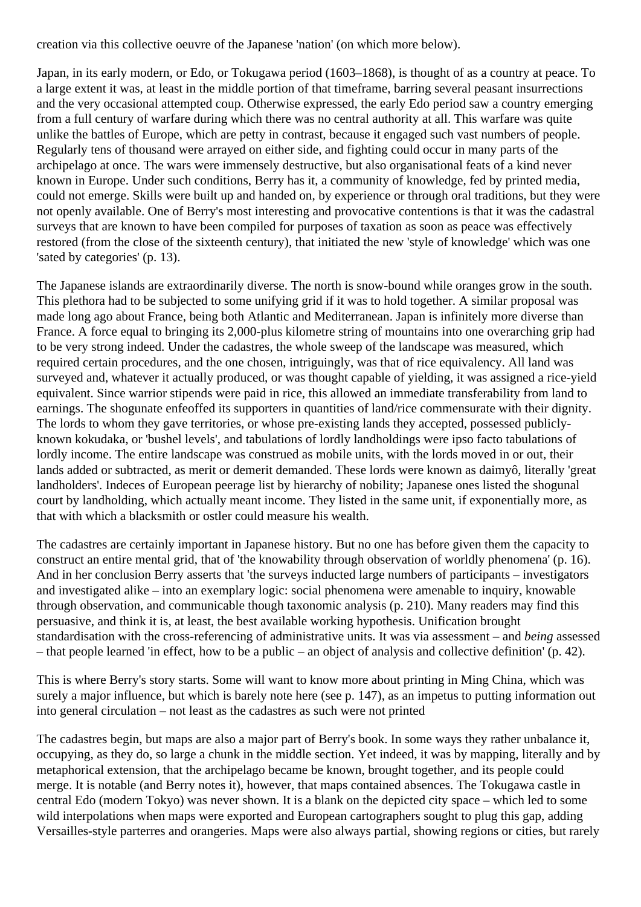creation via this collective oeuvre of the Japanese 'nation' (on which more below).

Japan, in its early modern, or Edo, or Tokugawa period (1603–1868), is thought of as a country at peace. To a large extent it was, at least in the middle portion of that timeframe, barring several peasant insurrections and the very occasional attempted coup. Otherwise expressed, the early Edo period saw a country emerging from a full century of warfare during which there was no central authority at all. This warfare was quite unlike the battles of Europe, which are petty in contrast, because it engaged such vast numbers of people. Regularly tens of thousand were arrayed on either side, and fighting could occur in many parts of the archipelago at once. The wars were immensely destructive, but also organisational feats of a kind never known in Europe. Under such conditions, Berry has it, a community of knowledge, fed by printed media, could not emerge. Skills were built up and handed on, by experience or through oral traditions, but they were not openly available. One of Berry's most interesting and provocative contentions is that it was the cadastral surveys that are known to have been compiled for purposes of taxation as soon as peace was effectively restored (from the close of the sixteenth century), that initiated the new 'style of knowledge' which was one 'sated by categories' (p. 13).

The Japanese islands are extraordinarily diverse. The north is snow-bound while oranges grow in the south. This plethora had to be subjected to some unifying grid if it was to hold together. A similar proposal was made long ago about France, being both Atlantic and Mediterranean. Japan is infinitely more diverse than France. A force equal to bringing its 2,000-plus kilometre string of mountains into one overarching grip had to be very strong indeed. Under the cadastres, the whole sweep of the landscape was measured, which required certain procedures, and the one chosen, intriguingly, was that of rice equivalency. All land was surveyed and, whatever it actually produced, or was thought capable of yielding, it was assigned a rice-yield equivalent. Since warrior stipends were paid in rice, this allowed an immediate transferability from land to earnings. The shogunate enfeoffed its supporters in quantities of land/rice commensurate with their dignity. The lords to whom they gave territories, or whose pre-existing lands they accepted, possessed publiclyknown kokudaka, or 'bushel levels', and tabulations of lordly landholdings were ipso facto tabulations of lordly income. The entire landscape was construed as mobile units, with the lords moved in or out, their lands added or subtracted, as merit or demerit demanded. These lords were known as daimyô, literally 'great landholders'. Indeces of European peerage list by hierarchy of nobility; Japanese ones listed the shogunal court by landholding, which actually meant income. They listed in the same unit, if exponentially more, as that with which a blacksmith or ostler could measure his wealth.

The cadastres are certainly important in Japanese history. But no one has before given them the capacity to construct an entire mental grid, that of 'the knowability through observation of worldly phenomena' (p. 16). And in her conclusion Berry asserts that 'the surveys inducted large numbers of participants – investigators and investigated alike – into an exemplary logic: social phenomena were amenable to inquiry, knowable through observation, and communicable though taxonomic analysis (p. 210). Many readers may find this persuasive, and think it is, at least, the best available working hypothesis. Unification brought standardisation with the cross-referencing of administrative units. It was via assessment – and *being* assessed – that people learned 'in effect, how to be a public – an object of analysis and collective definition' (p. 42).

This is where Berry's story starts. Some will want to know more about printing in Ming China, which was surely a major influence, but which is barely note here (see p. 147), as an impetus to putting information out into general circulation – not least as the cadastres as such were not printed

The cadastres begin, but maps are also a major part of Berry's book. In some ways they rather unbalance it, occupying, as they do, so large a chunk in the middle section. Yet indeed, it was by mapping, literally and by metaphorical extension, that the archipelago became be known, brought together, and its people could merge. It is notable (and Berry notes it), however, that maps contained absences. The Tokugawa castle in central Edo (modern Tokyo) was never shown. It is a blank on the depicted city space – which led to some wild interpolations when maps were exported and European cartographers sought to plug this gap, adding Versailles-style parterres and orangeries. Maps were also always partial, showing regions or cities, but rarely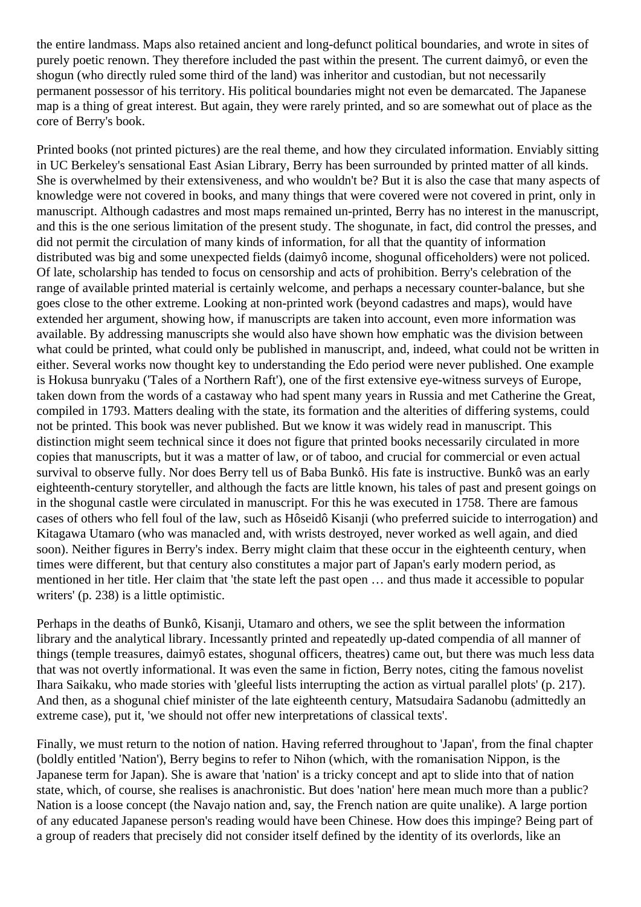the entire landmass. Maps also retained ancient and long-defunct political boundaries, and wrote in sites of purely poetic renown. They therefore included the past within the present. The current daimyô, or even the shogun (who directly ruled some third of the land) was inheritor and custodian, but not necessarily permanent possessor of his territory. His political boundaries might not even be demarcated. The Japanese map is a thing of great interest. But again, they were rarely printed, and so are somewhat out of place as the core of Berry's book.

Printed books (not printed pictures) are the real theme, and how they circulated information. Enviably sitting in UC Berkeley's sensational East Asian Library, Berry has been surrounded by printed matter of all kinds. She is overwhelmed by their extensiveness, and who wouldn't be? But it is also the case that many aspects of knowledge were not covered in books, and many things that were covered were not covered in print, only in manuscript. Although cadastres and most maps remained un-printed, Berry has no interest in the manuscript, and this is the one serious limitation of the present study. The shogunate, in fact, did control the presses, and did not permit the circulation of many kinds of information, for all that the quantity of information distributed was big and some unexpected fields (daimyô income, shogunal officeholders) were not policed. Of late, scholarship has tended to focus on censorship and acts of prohibition. Berry's celebration of the range of available printed material is certainly welcome, and perhaps a necessary counter-balance, but she goes close to the other extreme. Looking at non-printed work (beyond cadastres and maps), would have extended her argument, showing how, if manuscripts are taken into account, even more information was available. By addressing manuscripts she would also have shown how emphatic was the division between what could be printed, what could only be published in manuscript, and, indeed, what could not be written in either. Several works now thought key to understanding the Edo period were never published. One example is Hokusa bunryaku ('Tales of a Northern Raft'), one of the first extensive eye-witness surveys of Europe, taken down from the words of a castaway who had spent many years in Russia and met Catherine the Great, compiled in 1793. Matters dealing with the state, its formation and the alterities of differing systems, could not be printed. This book was never published. But we know it was widely read in manuscript. This distinction might seem technical since it does not figure that printed books necessarily circulated in more copies that manuscripts, but it was a matter of law, or of taboo, and crucial for commercial or even actual survival to observe fully. Nor does Berry tell us of Baba Bunkô. His fate is instructive. Bunkô was an early eighteenth-century storyteller, and although the facts are little known, his tales of past and present goings on in the shogunal castle were circulated in manuscript. For this he was executed in 1758. There are famous cases of others who fell foul of the law, such as Hôseidô Kisanji (who preferred suicide to interrogation) and Kitagawa Utamaro (who was manacled and, with wrists destroyed, never worked as well again, and died soon). Neither figures in Berry's index. Berry might claim that these occur in the eighteenth century, when times were different, but that century also constitutes a major part of Japan's early modern period, as mentioned in her title. Her claim that 'the state left the past open … and thus made it accessible to popular writers' (p. 238) is a little optimistic.

Perhaps in the deaths of Bunkô, Kisanji, Utamaro and others, we see the split between the information library and the analytical library. Incessantly printed and repeatedly up-dated compendia of all manner of things (temple treasures, daimyô estates, shogunal officers, theatres) came out, but there was much less data that was not overtly informational. It was even the same in fiction, Berry notes, citing the famous novelist Ihara Saikaku, who made stories with 'gleeful lists interrupting the action as virtual parallel plots' (p. 217). And then, as a shogunal chief minister of the late eighteenth century, Matsudaira Sadanobu (admittedly an extreme case), put it, 'we should not offer new interpretations of classical texts'.

Finally, we must return to the notion of nation. Having referred throughout to 'Japan', from the final chapter (boldly entitled 'Nation'), Berry begins to refer to Nihon (which, with the romanisation Nippon, is the Japanese term for Japan). She is aware that 'nation' is a tricky concept and apt to slide into that of nation state, which, of course, she realises is anachronistic. But does 'nation' here mean much more than a public? Nation is a loose concept (the Navajo nation and, say, the French nation are quite unalike). A large portion of any educated Japanese person's reading would have been Chinese. How does this impinge? Being part of a group of readers that precisely did not consider itself defined by the identity of its overlords, like an